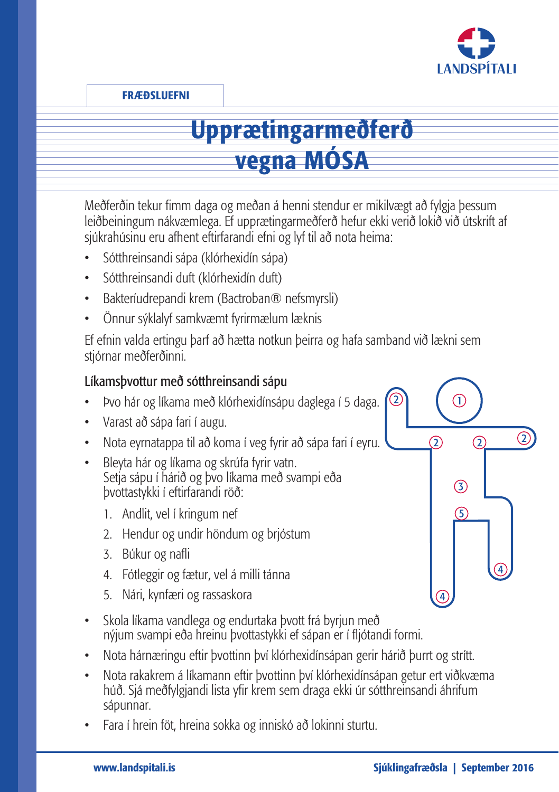

FRÆÐSLUEFNI

# Upprætingarmeðferð vegna MÓSA

Meðferðin tekur fimm daga og meðan á henni stendur er mikilvægt að fylgja þessum leiðbeiningum nákvæmlega. Ef upprætingarmeðferð hefur ekki verið lokið við útskrift af sjúkrahúsinu eru afhent eftirfarandi efni og lyf til að nota heima:

- Sótthreinsandi sápa (klórhexidín sápa)
- Sótthreinsandi duft (klórhexidín duft)
- Bakteríudrepandi krem (Bactroban® nefsmyrsli)
- Önnur sýklalyf samkvæmt fyrirmælum læknis

Ef efnin valda ertingu þarf að hætta notkun þeirra og hafa samband við lækni sem stjórnar meðferðinni.

#### Líkamsþvottur með sótthreinsandi sápu

- Þvo hár og líkama með klórhexidínsápu daglega í 5 daga.
- Varast að sápa fari í augu.
- Nota eyrnatappa til að koma í veg fyrir að sápa fari í eyru.
- Bleyta hár og líkama og skrúfa fyrir vatn. Setja sápu í hárið og þvo líkama með svampi eða þvottastykki í eftirfarandi röð:
	- 1. Andlit, vel í kringum nef
	- 2. Hendur og undir höndum og brjóstum
	- 3. Búkur og nafli
	- 4. Fótleggir og fætur, vel á milli tánna
	- 5. Nári, kynfæri og rassaskora
- Skola líkama vandlega og endurtaka þvott frá byrjun með nýjum svampi eða hreinu þvottastykki ef sápan er í fljótandi formi.
- Nota hárnæringu eftir þvottinn því klórhexidínsápan gerir hárið þurrt og strítt.
- Nota rakakrem á líkamann eftir þvottinn því klórhexidínsápan getur ert viðkvæma húð. Sjá meðfylgjandi lista yfir krem sem draga ekki úr sótthreinsandi áhrifum sápunnar.
- Fara í hrein föt, hreina sokka og inniskó að lokinni sturtu.

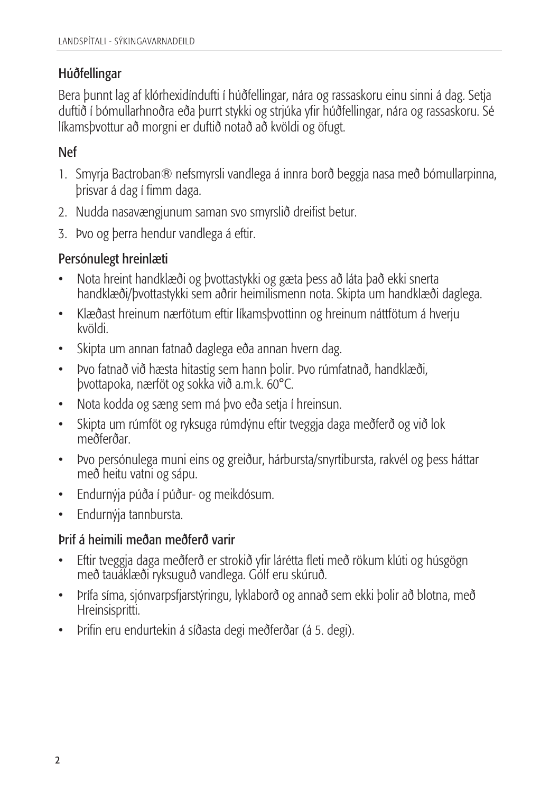#### Húðfellingar

Bera þunnt lag af klórhexidíndufti í húðfellingar, nára og rassaskoru einu sinni á dag. Setja duftið í bómullarhnoðra eða þurrt stykki og strjúka yfir húðfellingar, nára og rassaskoru. Sé líkamsþvottur að morgni er duftið notað að kvöldi og öfugt.

#### Nef

- 1. Smyrja Bactroban® nefsmyrsli vandlega á innra borð beggja nasa með bómullarpinna, þrisvar á dag í fimm daga.
- 2. Nudda nasavængjunum saman svo smyrslið dreifist betur.
- 3. Þvo og þerra hendur vandlega á eftir.

#### Persónulegt hreinlæti

- Nota hreint handklæði og þvottastykki og gæta þess að láta það ekki snerta handklæði/þvottastykki sem aðrir heimilismenn nota. Skipta um handklæði daglega.
- Klæðast hreinum nærfötum eftir líkamsþvottinn og hreinum náttfötum á hverju kvöldi.
- Skipta um annan fatnað daglega eða annan hvern dag.
- Þvo fatnað við hæsta hitastig sem hann þolir. Þvo rúmfatnað, handklæði, þvottapoka, nærföt og sokka við a.m.k. 60°C.
- Nota kodda og sæng sem má þvo eða setja í hreinsun.
- Skipta um rúmföt og ryksuga rúmdýnu eftir tveggja daga meðferð og við lok meðferðar.
- Þvo persónulega muni eins og greiður, hárbursta/snyrtibursta, rakvél og þess háttar með heitu vatni og sápu.
- Endurnýja púða í púður- og meikdósum.
- Endurnýja tannbursta.

#### Þrif á heimili meðan meðferð varir

- Eftir tveggja daga meðferð er strokið yfir lárétta fleti með rökum klúti og húsgögn með tauáklæði ryksuguð vandlega. Gólf eru skúruð.
- Þrífa síma, sjónvarpsfjarstýringu, lyklaborð og annað sem ekki þolir að blotna, með Hreinsispritti.
- Þrifin eru endurtekin á síðasta degi meðferðar (á 5. degi).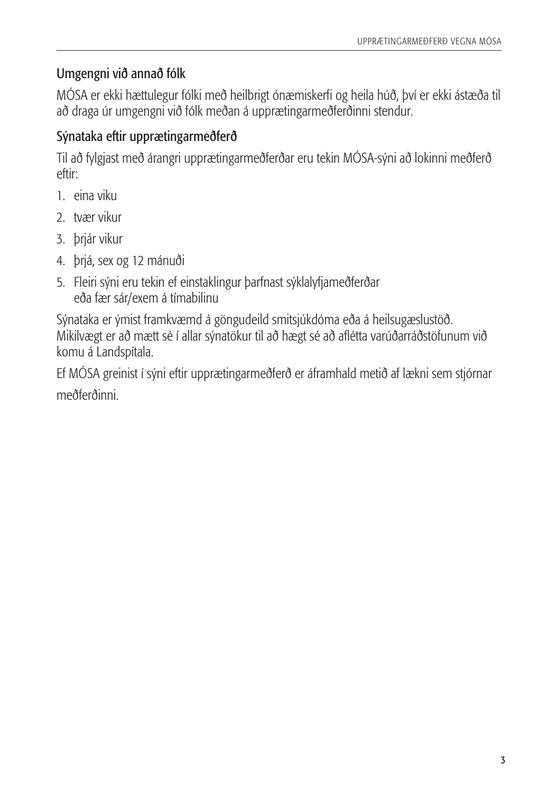## Umgengni við annað fólk

MÓSA er ekki hættulegur fólki með heilbrigt ónæmiskerfi og heila húð, því er ekki ástæða til að draga úr umgengni við fólk meðan á upprætingarmeðferðinni stendur.

### Sýnataka eftir upprætingarmeðferð

Til að fylgjast með árangri upprætingarmeðferðar eru tekin MÓSA-sýni að lokinni meðferð eftir:

- 1. eina viku
- 2. tvær vikur
- 3. þrjár vikur
- 4. þrjá, sex og 12 mánuði
- 5. Fleiri sýni eru tekin ef einstaklingur þarfnast sýklalyfjameðferðar eða fær sár/exem á tímabilinu

Sýnataka er ýmist framkvæmd á göngudeild smitsjúkdóma eða á heilsugæslustöð. Mikilvægt er að mætt sé í allar sýnatökur til að hægt sé að aflétta varúðarráðstöfunum við komu á Landspítala.

Ef MÓSA greinist í sýni eftir upprætingarmeðferð er áframhald metið af lækni sem stjórnar meðferðinni.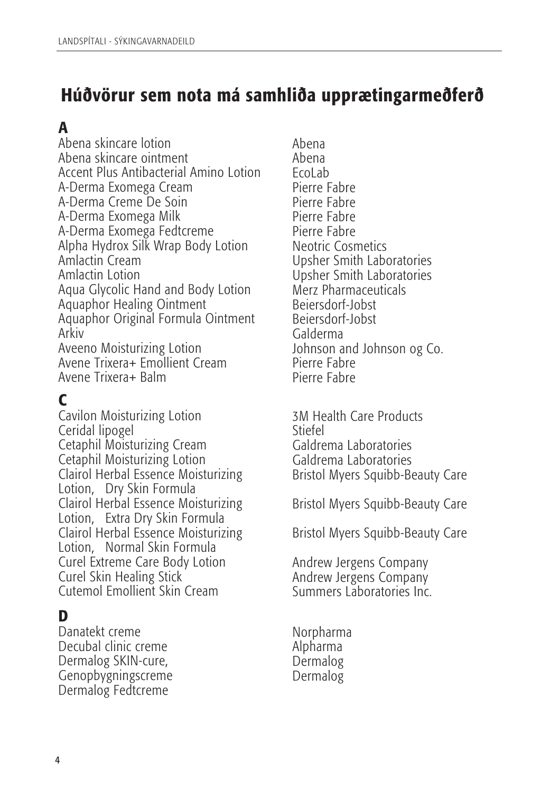# Húðvörur sem nota má samhliða upprætingarmeðferð

# A

Abena skincare lotion Abena skincare ointment Accent Plus Antibacterial Amino Lotion A-Derma Exomega Cream A-Derma Creme De Soin A-Derma Exomega Milk A-Derma Exomega Fedtcreme Alpha Hydrox Silk Wrap Body Lotion Amlactin Cream Amlactin Lotion Aqua Glycolic Hand and Body Lotion Aquaphor Healing Ointment Aquaphor Original Formula Ointment Arkiv Aveeno Moisturizing Lotion Avene Trixera+ Emollient Cream Avene Trixera+ Balm

# C

Cavilon Moisturizing Lotion Ceridal lipogel Cetaphil Moisturizing Cream Cetaphil Moisturizing Lotion Clairol Herbal Essence Moisturizing Lotion, Dry Skin Formula Clairol Herbal Essence Moisturizing Lotion, Extra Dry Skin Formula Clairol Herbal Essence Moisturizing Lotion, Normal Skin Formula Curel Extreme Care Body Lotion Curel Skin Healing Stick Cutemol Emollient Skin Cream

## D

Danatekt creme Decubal clinic creme Dermalog SKIN-cure, Genopbygningscreme Dermalog Fedtcreme

Abena Abena EcoLab Pierre Fabre Pierre Fabre Pierre Fabre Pierre Fabre Neotric Cosmetics Upsher Smith Laboratories Upsher Smith Laboratories Merz Pharmaceuticals Beiersdorf-Jobst Beiersdorf-Jobst Galderma Johnson and Johnson og Co. Pierre Fabre Pierre Fabre

3M Health Care Products Stiefel Galdrema Laboratories Galdrema Laboratories Bristol Myers Squibb-Beauty Care

Bristol Myers Squibb-Beauty Care

Bristol Myers Squibb-Beauty Care

Andrew Jergens Company Andrew Jergens Company Summers Laboratories Inc.

Norpharma Alpharma Dermalog Dermalog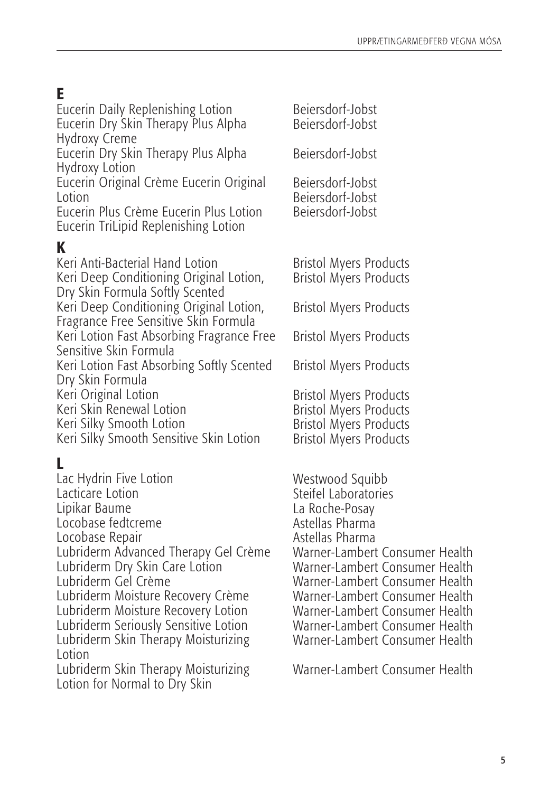# E

Eucerin Daily Replenishing Lotion Eucerin Dry Skin Therapy Plus Alpha Hydroxy Creme

Eucerin Dry Skin Therapy Plus Alpha Hydroxy Lotion

Eucerin Original Crème Eucerin Original Lotion

Eucerin Plus Crème Eucerin Plus Lotion Eucerin TriLipid Replenishing Lotion

# K

Keri Anti-Bacterial Hand Lotion Keri Deep Conditioning Original Lotion, Dry Skin Formula Softly Scented Keri Deep Conditioning Original Lotion, Fragrance Free Sensitive Skin Formula Keri Lotion Fast Absorbing Fragrance Free Sensitive Skin Formula Keri Lotion Fast Absorbing Softly Scented Dry Skin Formula Keri Original Lotion Keri Skin Renewal Lotion Keri Silky Smooth Lotion Keri Silky Smooth Sensitive Skin Lotion

# L

Lac Hydrin Five Lotion Lacticare Lotion Lipikar Baume Locobase fedtcreme Locobase Repair Lubriderm Advanced Therapy Gel Crème Lubriderm Dry Skin Care Lotion Lubriderm Gel Crème Lubriderm Moisture Recovery Crème Lubriderm Moisture Recovery Lotion Lubriderm Seriously Sensitive Lotion Lubriderm Skin Therapy Moisturizing Lotion Lubriderm Skin Therapy Moisturizing Lotion for Normal to Dry Skin

Beiersdorf-Jobst Beiersdorf-Jobst Beiersdorf-Jobst Beiersdorf-Jobst Beiersdorf-Jobst Beiersdorf-Jobst Bristol Myers Products Bristol Myers Products Bristol Myers Products

Bristol Myers Products

Bristol Myers Products

Bristol Myers Products Bristol Myers Products Bristol Myers Products Bristol Myers Products

Westwood Squibb Steifel Laboratories La Roche-Posay Astellas Pharma Astellas Pharma Warner-Lambert Consumer Health Warner-Lambert Consumer Health Warner-Lambert Consumer Health Warner-Lambert Consumer Health Warner-Lambert Consumer Health Warner-Lambert Consumer Health Warner-Lambert Consumer Health

Warner-Lambert Consumer Health